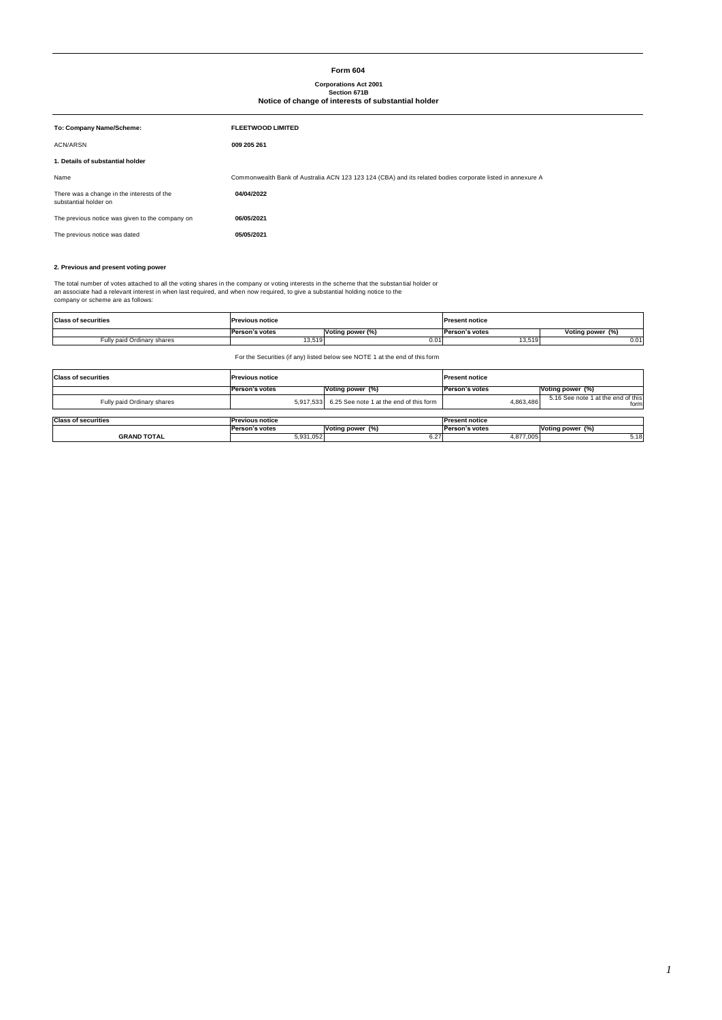# **Form 604**

# **Corporations Act 2001 Section 671B Notice of change of interests of substantial holder**

| <b>FLEETWOOD LIMITED</b>                                                                                   |
|------------------------------------------------------------------------------------------------------------|
| 009 205 261                                                                                                |
|                                                                                                            |
| Commonwealth Bank of Australia ACN 123 123 124 (CBA) and its related bodies corporate listed in annexure A |
| 04/04/2022                                                                                                 |
| 06/05/2021                                                                                                 |
| 05/05/2021                                                                                                 |
|                                                                                                            |

# **2. Previous and present voting power**

The total number of votes attached to all the voting shares in the company or voting interests in the scheme that the substantial holder or<br>an associate had a relevant interest in when last required, and when now required,

| <b>Class of securities</b> | <b>Previous notice</b> |                  | <b>Present notice</b> |                  |  |
|----------------------------|------------------------|------------------|-----------------------|------------------|--|
|                            | Person's votes         | Voting power (%) | Person's votes        | Voting power (%) |  |
| Fully paid Ordinary shares | 13,519                 | 0.01             | 13,519                | $0.0^*$          |  |

For the Securities (if any) listed below see NOTE 1 at the end of this form

| <b>Class of securities</b> | <b>Previous notice</b> |                                                   | <b>Present notice</b> |                                            |
|----------------------------|------------------------|---------------------------------------------------|-----------------------|--------------------------------------------|
|                            | Person's votes         | Voting power (%)                                  | Person's votes        | Voting power (%)                           |
| Fully paid Ordinary shares |                        | 5.917.533 6.25 See note 1 at the end of this form | 4.863.486             | 5.16 See note 1 at the end of this<br>form |
|                            |                        |                                                   |                       |                                            |
| <b>Class of securities</b> | <b>Previous notice</b> |                                                   | <b>Present notice</b> |                                            |
|                            | Person's votes         | Voting power (%)                                  | Person's votes        | Voting power (%)                           |
| <b>GRAND TOTAL</b>         | 5,931,052              | 6.27                                              | 4,877,005             | 5.18                                       |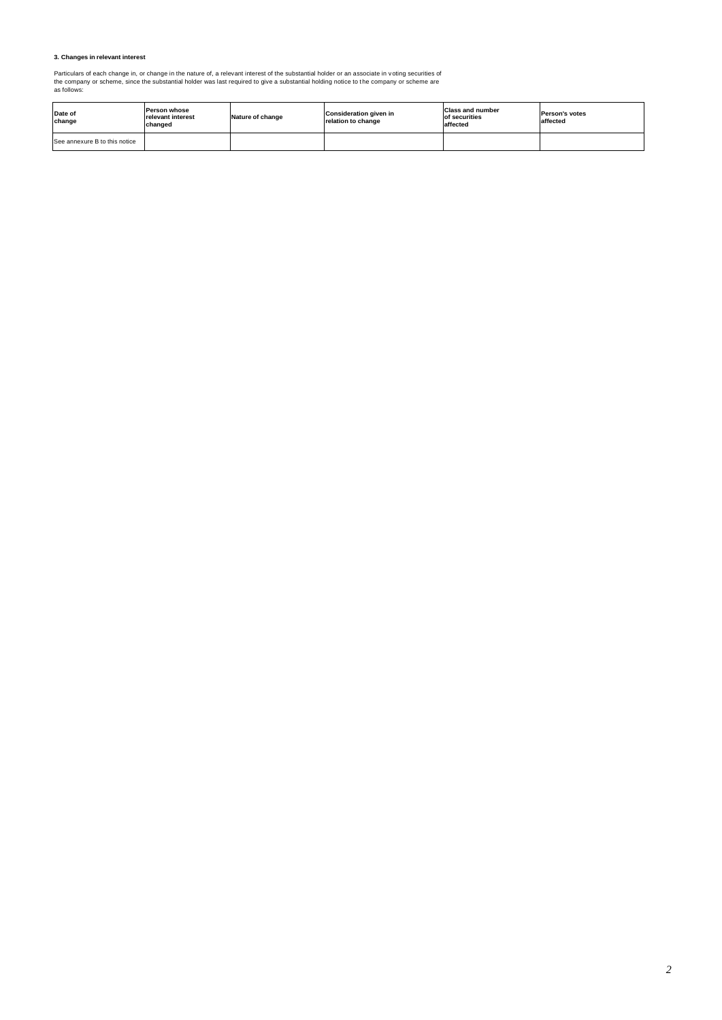# **3. Changes in relevant interest**

Particulars of each change in, or change in the nature of, a relevant interest of the substantial holder or an associate in voting securities of<br>the company or scheme, since the substantial holder was last required to give

| Date of<br>change             | Person whose<br>relevant interest<br>changed | Nature of change | <b>Consideration given in</b><br>relation to change | <b>Class and number</b><br>of securities<br>affected | <b>Person's votes</b><br>affected |
|-------------------------------|----------------------------------------------|------------------|-----------------------------------------------------|------------------------------------------------------|-----------------------------------|
| See annexure B to this notice |                                              |                  |                                                     |                                                      |                                   |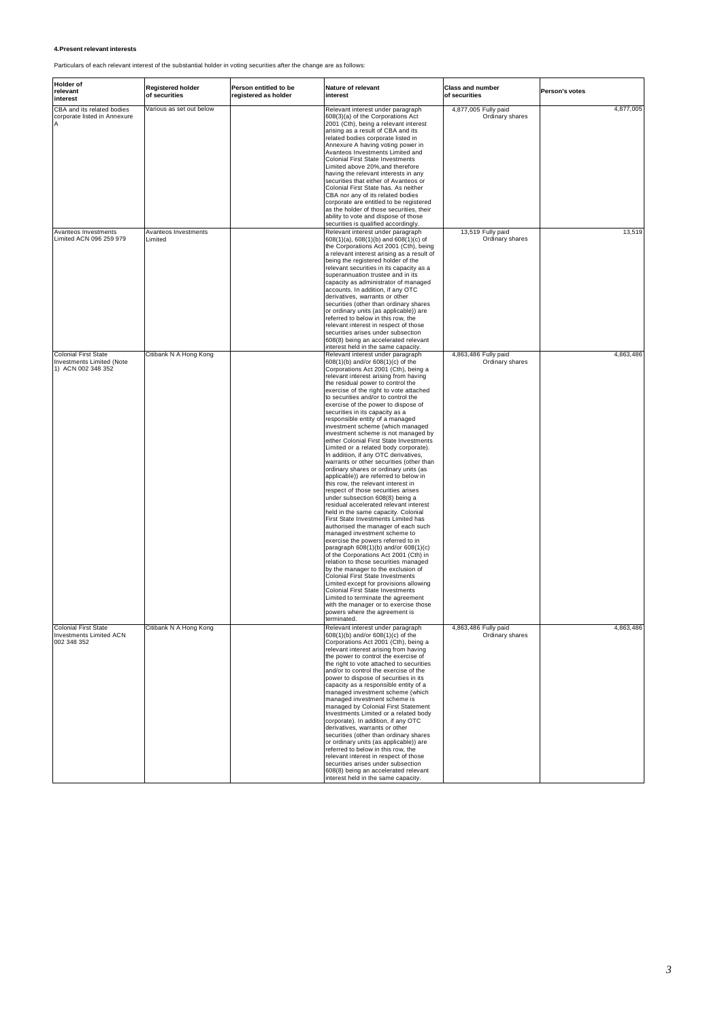# **4.Present relevant interests**

Particulars of each relevant interest of the substantial holder in voting securities after the change are as follows:

| <b>Holder</b> of<br>relevant<br>interest                                       | <b>Registered holder</b><br>of securities | Person entitled to be<br>registered as holder | Nature of relevant<br>interest                                                                                                                                                                                                                                                                                                                                                                                                                                                                                                                                                                                                                                                                                                                                                                                                                                                                                                                                                                                                                                                                                                                                                                                                                                                                                                                                                                                                                                                                                   | <b>Class and number</b><br>of securities | Person's votes |
|--------------------------------------------------------------------------------|-------------------------------------------|-----------------------------------------------|------------------------------------------------------------------------------------------------------------------------------------------------------------------------------------------------------------------------------------------------------------------------------------------------------------------------------------------------------------------------------------------------------------------------------------------------------------------------------------------------------------------------------------------------------------------------------------------------------------------------------------------------------------------------------------------------------------------------------------------------------------------------------------------------------------------------------------------------------------------------------------------------------------------------------------------------------------------------------------------------------------------------------------------------------------------------------------------------------------------------------------------------------------------------------------------------------------------------------------------------------------------------------------------------------------------------------------------------------------------------------------------------------------------------------------------------------------------------------------------------------------------|------------------------------------------|----------------|
| CBA and its related bodies<br>corporate listed in Annexure                     | Various as set out below                  |                                               | Relevant interest under paragraph<br>608(3)(a) of the Corporations Act<br>2001 (Cth), being a relevant interest<br>arising as a result of CBA and its<br>related bodies corporate listed in<br>Annexure A having voting power in<br>Avanteos Investments Limited and<br><b>Colonial First State Investments</b><br>Limited above 20%, and therefore<br>having the relevant interests in any<br>securities that either of Avanteos or<br>Colonial First State has. As neither<br>CBA nor any of its related bodies<br>corporate are entitled to be registered<br>as the holder of those securities, their<br>ability to vote and dispose of those<br>securities is qualified accordingly.                                                                                                                                                                                                                                                                                                                                                                                                                                                                                                                                                                                                                                                                                                                                                                                                                         | 4,877,005 Fully paid<br>Ordinary shares  | 4,877,005      |
| Avanteos Investments<br>Limited ACN 096 259 979                                | Avanteos Investments<br>Limited           |                                               | Relevant interest under paragraph<br>608(1)(a), 608(1)(b) and 608(1)(c) of<br>the Corporations Act 2001 (Cth), being<br>a relevant interest arising as a result of<br>being the registered holder of the<br>relevant securities in its capacity as a<br>superannuation trustee and in its<br>capacity as administrator of managed<br>accounts. In addition, if any OTC<br>derivatives, warrants or other<br>securities (other than ordinary shares<br>or ordinary units (as applicable)) are<br>referred to below in this row, the<br>relevant interest in respect of those<br>securities arises under subsection<br>608(8) being an accelerated relevant<br>interest held in the same capacity.                                                                                                                                                                                                                                                                                                                                                                                                                                                                                                                                                                                                                                                                                                                                                                                                                 | 13,519 Fully paid<br>Ordinary shares     | 13,519         |
| <b>Colonial First State</b><br>Investments Limited (Note<br>1) ACN 002 348 352 | Citibank N A Hong Kong                    |                                               | Relevant interest under paragraph<br>608(1)(b) and/or 608(1)(c) of the<br>Corporations Act 2001 (Cth), being a<br>relevant interest arising from having<br>the residual power to control the<br>exercise of the right to vote attached<br>to securities and/or to control the<br>exercise of the power to dispose of<br>securities in its capacity as a<br>responsible entity of a managed<br>investment scheme (which managed<br>investment scheme is not managed by<br>either Colonial First State Investments<br>Limited or a related body corporate).<br>In addition, if any OTC derivatives,<br>warrants or other securities (other than<br>ordinary shares or ordinary units (as<br>applicable)) are referred to below in<br>this row, the relevant interest in<br>respect of those securities arises<br>under subsection 608(8) being a<br>residual accelerated relevant interest<br>held in the same capacity. Colonial<br>First State Investments Limited has<br>authorised the manager of each such<br>managed investment scheme to<br>exercise the powers referred to in<br>paragraph 608(1)(b) and/or 608(1)(c)<br>of the Corporations Act 2001 (Cth) in<br>relation to those securities managed<br>by the manager to the exclusion of<br><b>Colonial First State Investments</b><br>Limited except for provisions allowing<br><b>Colonial First State Investments</b><br>Limited to terminate the agreement<br>with the manager or to exercise those<br>powers where the agreement is<br>erminated. | 4,863,486 Fully paid<br>Ordinary shares  | 4,863,486      |
| <b>Colonial First State</b><br><b>Investments Limited ACN</b><br>002 348 352   | Citibank N A Hong Kong                    |                                               | Relevant interest under paragraph<br>608(1)(b) and/or 608(1)(c) of the<br>Corporations Act 2001 (Cth), being a<br>relevant interest arising from having<br>the power to control the exercise of<br>the right to vote attached to securities<br>and/or to control the exercise of the<br>power to dispose of securities in its<br>capacity as a responsible entity of a<br>managed investment scheme (which<br>managed investment scheme is<br>managed by Colonial First Statement<br>Investments Limited or a related body<br>corporate). In addition, if any OTC<br>derivatives, warrants or other<br>securities (other than ordinary shares<br>or ordinary units (as applicable)) are<br>referred to below in this row, the<br>relevant interest in respect of those<br>securities arises under subsection<br>608(8) being an accelerated relevant<br>interest held in the same capacity.                                                                                                                                                                                                                                                                                                                                                                                                                                                                                                                                                                                                                      | 4,863,486 Fully paid<br>Ordinary shares  | 4,863,486      |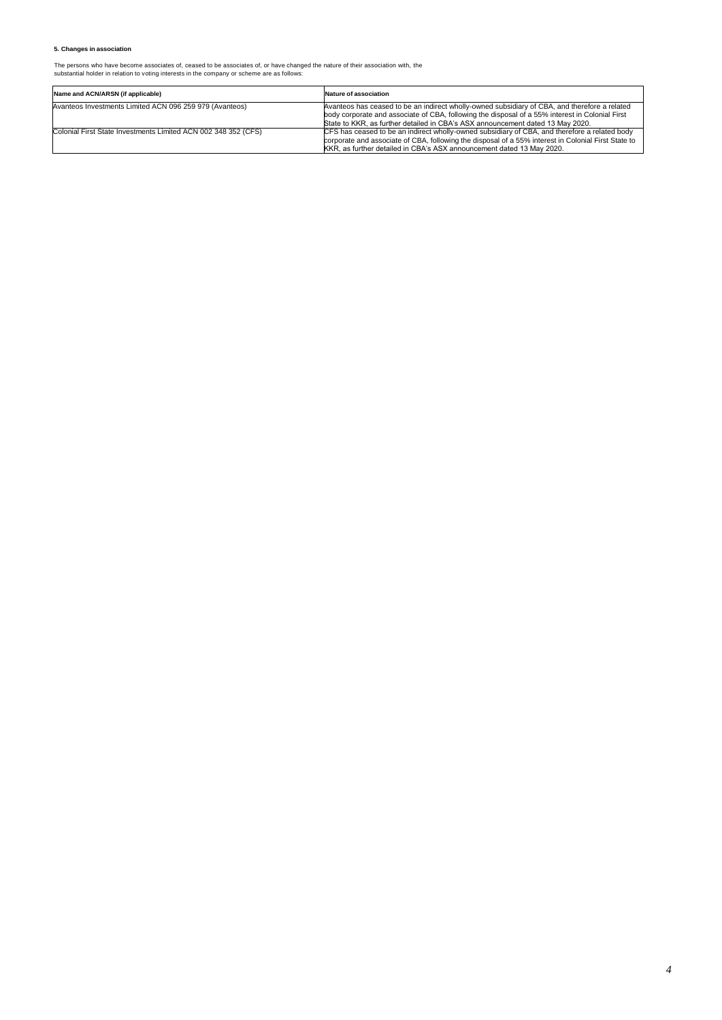# **5. Changes in association**

The persons who have become associates of, ceased to be associates of, or have changed the nature of their association with, the substantial holder in relation to voting interests in the company or scheme are as follows:

| Name and ACN/ARSN (if applicable)                              | Nature of association                                                                                                                                                                                                                                                              |
|----------------------------------------------------------------|------------------------------------------------------------------------------------------------------------------------------------------------------------------------------------------------------------------------------------------------------------------------------------|
| Avanteos Investments Limited ACN 096 259 979 (Avanteos)        | Avanteos has ceased to be an indirect wholly-owned subsidiary of CBA, and therefore a related<br>body corporate and associate of CBA, following the disposal of a 55% interest in Colonial First<br>State to KKR, as further detailed in CBA's ASX announcement dated 13 May 2020. |
| Colonial First State Investments Limited ACN 002 348 352 (CFS) | CFS has ceased to be an indirect wholly-owned subsidiary of CBA, and therefore a related body<br>corporate and associate of CBA, following the disposal of a 55% interest in Colonial First State to<br>KKR, as further detailed in CBA's ASX announcement dated 13 May 2020.      |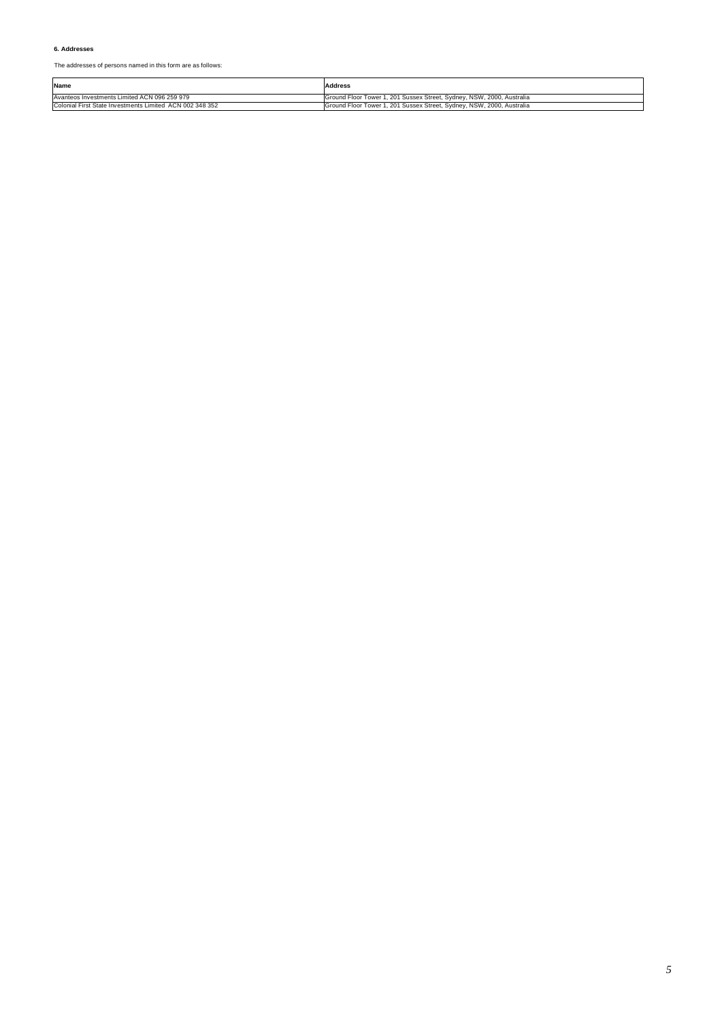# **6. Addresses**

The addresses of persons named in this form are as follows:

| Name                                                     | Address                                                               |
|----------------------------------------------------------|-----------------------------------------------------------------------|
| Avanteos Investments Limited ACN 096 259 979             | Ground Floor Tower 1, 201 Sussex Street, Sydney, NSW, 2000, Australia |
| Colonial First State Investments Limited ACN 002 348 352 | Ground Floor Tower 1, 201 Sussex Street, Sydney, NSW, 2000, Australia |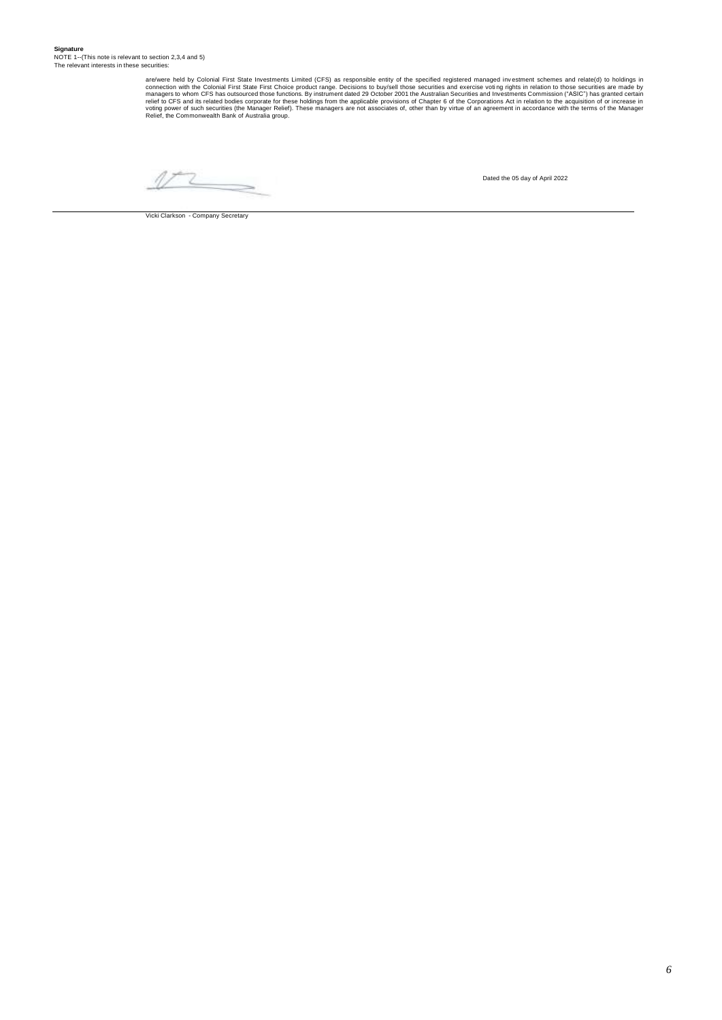are/were held by Colonial First State Investments Limited (CFS) as responsible entity of the specified registered managed investment schemes and relate(d) to holdings in<br>connection with the Colonial First State Investments

V  $\overline{\phantom{a}}$ 

Vicki Clarkson - Company Secretary

Dated the 05 day of April 2022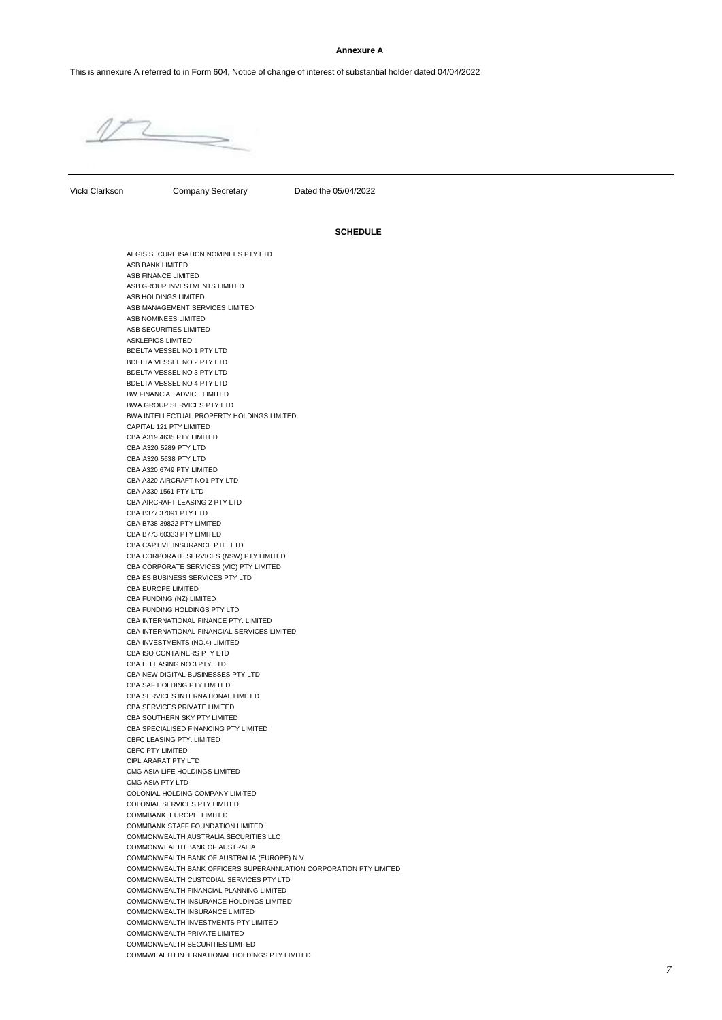### **Annexure A**

This is annexure A referred to in Form 604, Notice of change of interest of substantial holder dated 04/04/2022

Vicki Clarkson Company Secretary Dated the 05/04/2022

## **SCHEDULE**

AEGIS SECURITISATION NOMINEES PTY LTD ASB BANK LIMITED ASB FINANCE LIMITED ASB GROUP INVESTMENTS LIMITED ASB HOLDINGS LIMITED ASB MANAGEMENT SERVICES LIMITED ASB NOMINEES LIMITED ASB SECURITIES LIMITED ASKLEPIOS LIMITED BDELTA VESSEL NO 1 PTY LTD BDELTA VESSEL NO 2 PTY LTD BDELTA VESSEL NO 3 PTY LTD BDELTA VESSEL NO 4 PTY LTD BW FINANCIAL ADVICE LIMITED BWA GROUP SERVICES PTY LTD BWA INTELLECTUAL PROPERTY HOLDINGS LIMITED CAPITAL 121 PTY LIMITED CBA A319 4635 PTY LIMITED CBA A320 5289 PTY LTD CBA A320 5638 PTY LTD CBA A320 6749 PTY LIMITED CBA A320 AIRCRAFT NO1 PTY LTD CBA A330 1561 PTY LTD CBA AIRCRAFT LEASING 2 PTY LTD CBA B377 37091 PTY LTD CBA B738 39822 PTY LIMITED CBA B773 60333 PTY LIMITED CBA CAPTIVE INSURANCE PTE. LTD CBA CORPORATE SERVICES (NSW) PTY LIMITED CBA CORPORATE SERVICES (VIC) PTY LIMITED CBA ES BUSINESS SERVICES PTY LTD CBA EUROPE LIMITED CBA FUNDING (NZ) LIMITED CBA FUNDING HOLDINGS PTY LTD CBA INTERNATIONAL FINANCE PTY. LIMITED CBA INTERNATIONAL FINANCIAL SERVICES LIMITED CBA INVESTMENTS (NO.4) LIMITED CBA ISO CONTAINERS PTY LTD CBA IT LEASING NO 3 PTY LTD CBA NEW DIGITAL BUSINESSES PTY LTD CBA SAF HOLDING PTY LIMITED CBA SERVICES INTERNATIONAL LIMITED CBA SERVICES PRIVATE LIMITED CBA SOUTHERN SKY PTY LIMITED CBA SPECIALISED FINANCING PTY LIMITED CBEC LEASING PTY. LIMITED CBFC PTY LIMITED CIPL ARARAT PTY LTD CMG ASIA LIFE HOLDINGS LIMITED CMG ASIA PTY LTD COLONIAL HOLDING COMPANY LIMITED COLONIAL SERVICES PTY LIMITED COMMBANK EUROPE LIMITED COMMBANK STAFF FOUNDATION LIMITED COMMONWEALTH AUSTRALIA SECURITIES LLC COMMONWEALTH BANK OF AUSTRALIA COMMONWEALTH BANK OF AUSTRALIA (EUROPE) N.V. COMMONWEALTH BANK OFFICERS SUPERANNUATION CORPORATION PTY LIMITED COMMONWEALTH CUSTODIAL SERVICES PTY LTD COMMONWEALTH FINANCIAL PLANNING LIMITED COMMONWEALTH INSURANCE HOLDINGS LIMITED COMMONWEALTH INSURANCE LIMITED COMMONWEALTH INVESTMENTS PTY LIMITED COMMONWEALTH PRIVATE LIMITED COMMONWEALTH SECURITIES LIMITED COMMWEALTH INTERNATIONAL HOLDINGS PTY LIMITED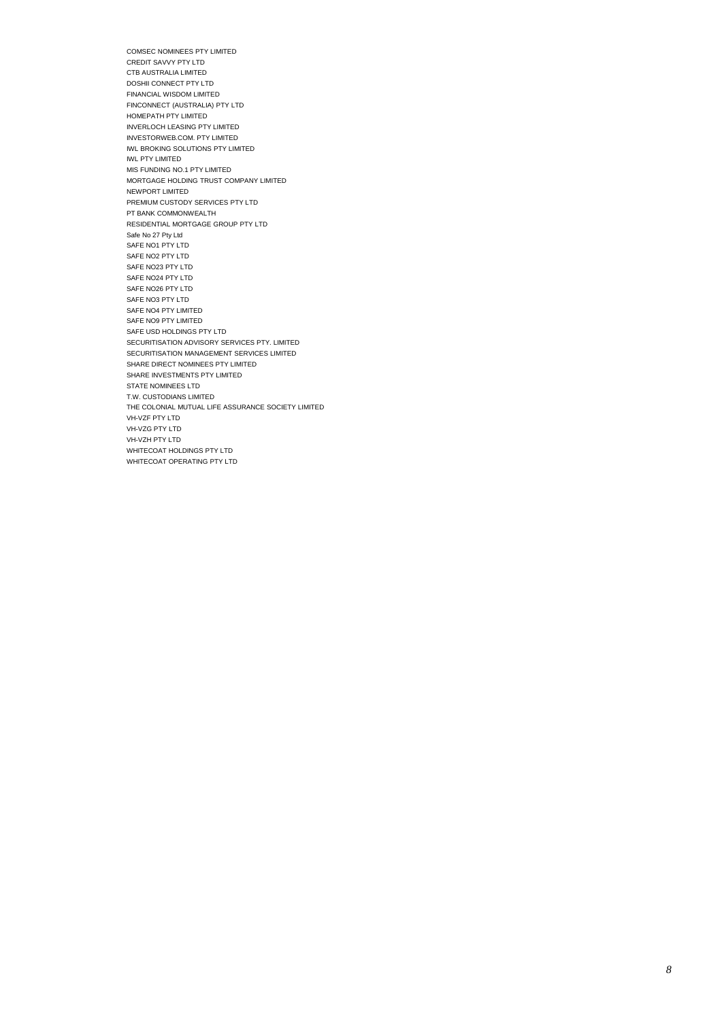COMSEC NOMINEES PTY LIMITED CREDIT SAVVY PTY LTD CTB AUSTRALIA LIMITED DOSHII CONNECT PTY LTD FINANCIAL WISDOM LIMITED FINCONNECT (AUSTRALIA) PTY LTD HOMEPATH PTY LIMITED INVERLOCH LEASING PTY LIMITED INVESTORWEB.COM. PTY LIMITED IWL BROKING SOLUTIONS PTY LIMITED IWL PTY LIMITED MIS FUNDING NO.1 PTY LIMITED MORTGAGE HOLDING TRUST COMPANY LIMITED NEWPORT LIMITED PREMIUM CUSTODY SERVICES PTY LTD PT BANK COMMONWEALTH RESIDENTIAL MORTGAGE GROUP PTY LTD Safe No 27 Pty Ltd SAFE NO1 PTY LTD SAFE NO2 PTY LTD SAFE NO23 PTY LTD SAFE NO24 PTY LTD SAFE NO26 PTY LTD SAFE NO3 PTY LTD SAFE NO4 PTY LIMITED SAFE NO9 PTY LIMITED SAFE USD HOLDINGS PTY LTD SECURITISATION ADVISORY SERVICES PTY. LIMITED SECURITISATION MANAGEMENT SERVICES LIMITED SHARE DIRECT NOMINEES PTY LIMITED SHARE INVESTMENTS PTY LIMITED STATE NOMINEES LTD T.W. CUSTODIANS LIMITED THE COLONIAL MUTUAL LIFE ASSURANCE SOCIETY LIMITED VH-VZF PTY LTD VH-VZG PTY LTD VH-VZH PTY LTD WHITECOAT HOLDINGS PTY LTD WHITECOAT OPERATING PTY LTD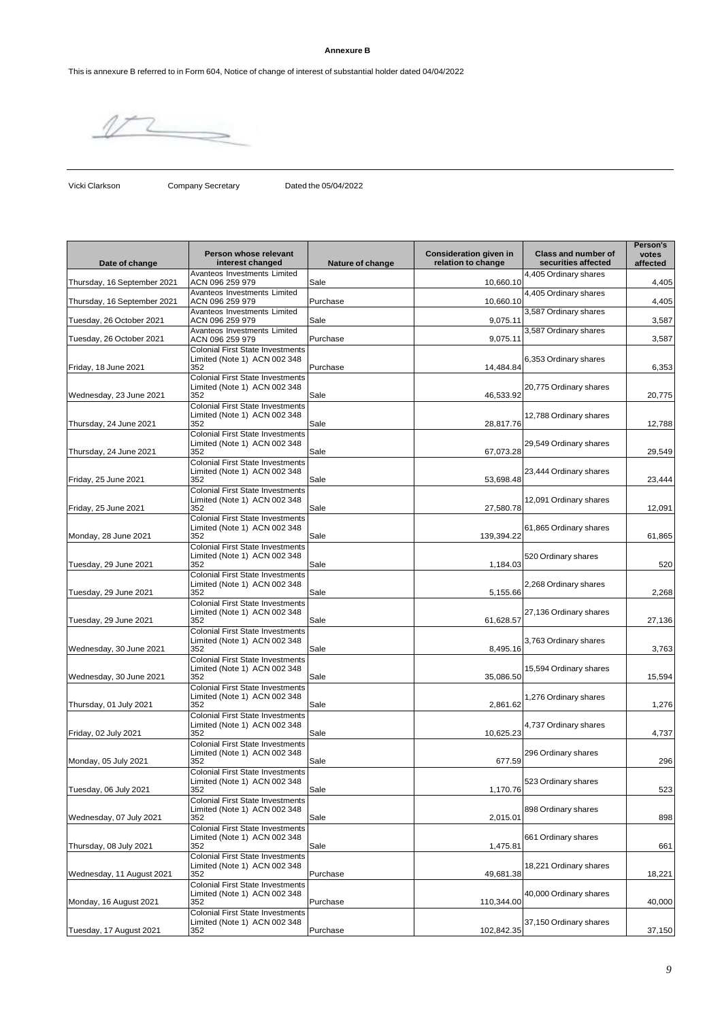# **Annexure B**

This is annexure B referred to in Form 604, Notice of change of interest of substantial holder dated 04/04/2022

Vicki Clarkson Company Secretary Dated the 05/04/2022

| Date of change              | Person whose relevant<br>interest changed                                                                                 | Nature of change | <b>Consideration given in</b><br>relation to change | <b>Class and number of</b><br>securities affected | Person's<br>votes<br>affected |
|-----------------------------|---------------------------------------------------------------------------------------------------------------------------|------------------|-----------------------------------------------------|---------------------------------------------------|-------------------------------|
| Thursday, 16 September 2021 | Avanteos Investments Limited<br>ACN 096 259 979                                                                           | Sale             | 10,660.10                                           | 4,405 Ordinary shares                             | 4,405                         |
| Thursday, 16 September 2021 | Avanteos Investments Limited<br>ACN 096 259 979                                                                           | Purchase         | 10.660.10                                           | 4,405 Ordinary shares                             | 4,405                         |
| Tuesday, 26 October 2021    | Avanteos Investments Limited<br>ACN 096 259 979                                                                           | Sale             | 9,075.11                                            | 3,587 Ordinary shares                             | 3,587                         |
| Tuesday, 26 October 2021    | Avanteos Investments Limited<br>ACN 096 259 979                                                                           | Purchase         | 9,075.11                                            | 3,587 Ordinary shares                             | 3,587                         |
| Friday, 18 June 2021        | <b>Colonial First State Investments</b><br>Limited (Note 1) ACN 002 348<br>352                                            | Purchase         | 14,484.84                                           | 6,353 Ordinary shares                             | 6,353                         |
| Wednesday, 23 June 2021     | <b>Colonial First State Investments</b><br>Limited (Note 1) ACN 002 348<br>352<br><b>Colonial First State Investments</b> | Sale             | 46,533.92                                           | 20,775 Ordinary shares                            | 20,775                        |
| Thursday, 24 June 2021      | Limited (Note 1) ACN 002 348<br>352                                                                                       | Sale             | 28,817.76                                           | 12,788 Ordinary shares                            | 12,788                        |
| Thursday, 24 June 2021      | <b>Colonial First State Investments</b><br>Limited (Note 1) ACN 002 348<br>352                                            | Sale             | 67,073.28                                           | 29,549 Ordinary shares                            | 29,549                        |
| Friday, 25 June 2021        | <b>Colonial First State Investments</b><br>Limited (Note 1) ACN 002 348<br>352                                            | Sale             | 53,698.48                                           | 23,444 Ordinary shares                            | 23,444                        |
| Friday, 25 June 2021        | <b>Colonial First State Investments</b><br>Limited (Note 1) ACN 002 348<br>352                                            | Sale             | 27,580.78                                           | 12,091 Ordinary shares                            | 12,091                        |
| Monday, 28 June 2021        | <b>Colonial First State Investments</b><br>Limited (Note 1) ACN 002 348<br>352                                            | Sale             | 139,394.22                                          | 61,865 Ordinary shares                            | 61,865                        |
| Tuesday, 29 June 2021       | <b>Colonial First State Investments</b><br>Limited (Note 1) ACN 002 348<br>352                                            | Sale             | 1,184.03                                            | 520 Ordinary shares                               | 520                           |
| Tuesday, 29 June 2021       | <b>Colonial First State Investments</b><br>Limited (Note 1) ACN 002 348<br>352                                            | Sale             | 5,155.66                                            | 2,268 Ordinary shares                             | 2,268                         |
| Tuesday, 29 June 2021       | <b>Colonial First State Investments</b><br>Limited (Note 1) ACN 002 348<br>352                                            | Sale             | 61,628.57                                           | 27,136 Ordinary shares                            | 27,136                        |
| Wednesday, 30 June 2021     | <b>Colonial First State Investments</b><br>Limited (Note 1) ACN 002 348<br>352                                            | Sale             | 8,495.16                                            | 3,763 Ordinary shares                             | 3,763                         |
| Wednesday, 30 June 2021     | <b>Colonial First State Investments</b><br>Limited (Note 1) ACN 002 348<br>352                                            | Sale             | 35,086.50                                           | 15,594 Ordinary shares                            | 15,594                        |
| Thursday, 01 July 2021      | <b>Colonial First State Investments</b><br>Limited (Note 1) ACN 002 348<br>352                                            | Sale             | 2,861.62                                            | 1,276 Ordinary shares                             | 1,276                         |
| Friday, 02 July 2021        | <b>Colonial First State Investments</b><br>Limited (Note 1) ACN 002 348<br>352                                            | Sale             | 10,625.23                                           | 4,737 Ordinary shares                             | 4,737                         |
| Monday, 05 July 2021        | <b>Colonial First State Investments</b><br>Limited (Note 1) ACN 002 348<br>352                                            | Sale             | 677.59                                              | 296 Ordinary shares                               | 296                           |
| Tuesday, 06 July 2021       | <b>Colonial First State Investments</b><br>Limited (Note 1) ACN 002 348<br>352                                            | Sale             | 1,170.76                                            | 523 Ordinary shares                               | 523                           |
| Wednesday, 07 July 2021     | <b>Colonial First State Investments</b><br>Limited (Note 1) ACN 002 348<br>352                                            | Sale             | 2,015.01                                            | 898 Ordinary shares                               | 898                           |
| Thursday, 08 July 2021      | <b>Colonial First State Investments</b><br>Limited (Note 1) ACN 002 348<br>352                                            | Sale             | 1,475.81                                            | 661 Ordinary shares                               | 661                           |
| Wednesday, 11 August 2021   | <b>Colonial First State Investments</b><br>Limited (Note 1) ACN 002 348<br>352                                            | Purchase         | 49,681.38                                           | 18,221 Ordinary shares                            | 18,221                        |
| Monday, 16 August 2021      | <b>Colonial First State Investments</b><br>Limited (Note 1) ACN 002 348<br>352                                            | Purchase         | 110,344.00                                          | 40,000 Ordinary shares                            | 40,000                        |
| Tuesday, 17 August 2021     | <b>Colonial First State Investments</b><br>Limited (Note 1) ACN 002 348<br>352                                            | Purchase         | 102,842.35                                          | 37,150 Ordinary shares                            | 37,150                        |